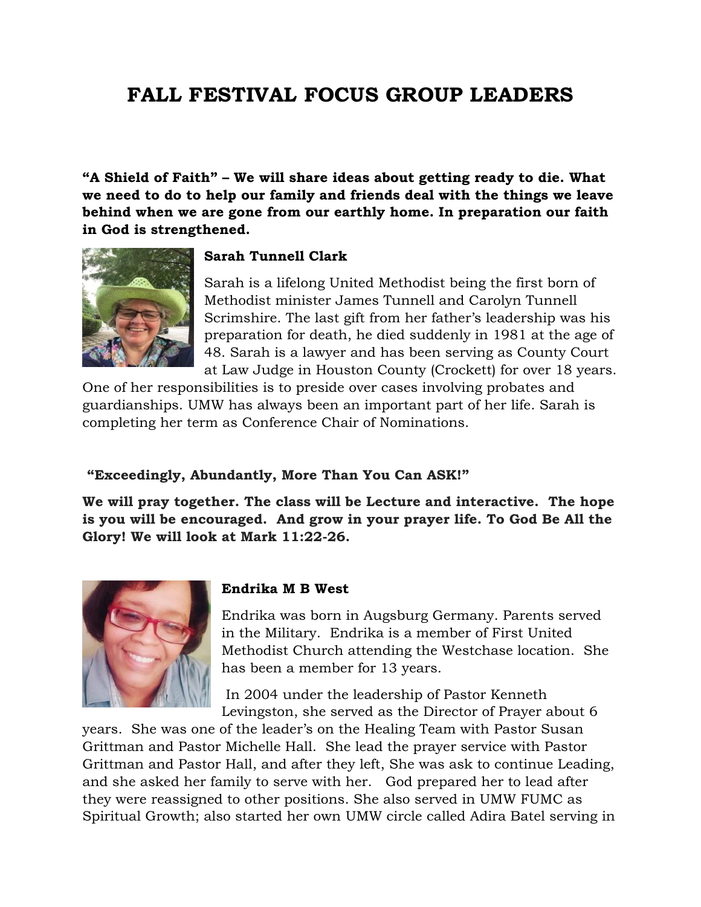# **FALL FESTIVAL FOCUS GROUP LEADERS**

**"A Shield of Faith" – We will share ideas about getting ready to die. What we need to do to help our family and friends deal with the things we leave behind when we are gone from our earthly home. In preparation our faith in God is strengthened.** 



#### **Sarah Tunnell Clark**

Sarah is a lifelong United Methodist being the first born of Methodist minister James Tunnell and Carolyn Tunnell Scrimshire. The last gift from her father's leadership was his preparation for death, he died suddenly in 1981 at the age of 48. Sarah is a lawyer and has been serving as County Court at Law Judge in Houston County (Crockett) for over 18 years.

One of her responsibilities is to preside over cases involving probates and guardianships. UMW has always been an important part of her life. Sarah is completing her term as Conference Chair of Nominations.

#### **"Exceedingly, Abundantly, More Than You Can ASK!"**

**We will pray together. The class will be Lecture and interactive. The hope is you will be encouraged. And grow in your prayer life. To God Be All the Glory! We will look at Mark 11:22-26.**



#### **Endrika M B West**

Endrika was born in Augsburg Germany. Parents served in the Military. Endrika is a member of First United Methodist Church attending the Westchase location. She has been a member for 13 years.

In 2004 under the leadership of Pastor Kenneth Levingston, she served as the Director of Prayer about 6

years. She was one of the leader's on the Healing Team with Pastor Susan Grittman and Pastor Michelle Hall. She lead the prayer service with Pastor Grittman and Pastor Hall, and after they left, She was ask to continue Leading, and she asked her family to serve with her. God prepared her to lead after they were reassigned to other positions. She also served in UMW FUMC as Spiritual Growth; also started her own UMW circle called Adira Batel serving in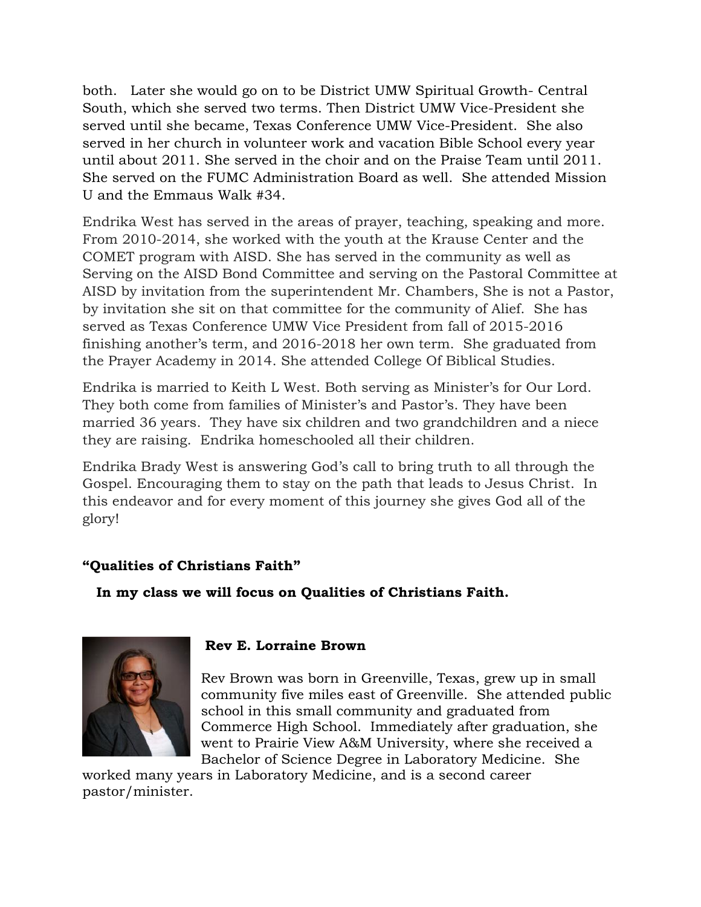both. Later she would go on to be District UMW Spiritual Growth- Central South, which she served two terms. Then District UMW Vice-President she served until she became, Texas Conference UMW Vice-President. She also served in her church in volunteer work and vacation Bible School every year until about 2011. She served in the choir and on the Praise Team until 2011. She served on the FUMC Administration Board as well. She attended Mission U and the Emmaus Walk #34.

Endrika West has served in the areas of prayer, teaching, speaking and more. From 2010-2014, she worked with the youth at the Krause Center and the COMET program with AISD. She has served in the community as well as Serving on the AISD Bond Committee and serving on the Pastoral Committee at AISD by invitation from the superintendent Mr. Chambers, She is not a Pastor, by invitation she sit on that committee for the community of Alief. She has served as Texas Conference UMW Vice President from fall of 2015-2016 finishing another's term, and 2016-2018 her own term. She graduated from the Prayer Academy in 2014. She attended College Of Biblical Studies.

Endrika is married to Keith L West. Both serving as Minister's for Our Lord. They both come from families of Minister's and Pastor's. They have been married 36 years. They have six children and two grandchildren and a niece they are raising. Endrika homeschooled all their children.

Endrika Brady West is answering God's call to bring truth to all through the Gospel. Encouraging them to stay on the path that leads to Jesus Christ. In this endeavor and for every moment of this journey she gives God all of the glory!

## **"Qualities of Christians Faith"**

 **In my class we will focus on Qualities of Christians Faith.**



## **Rev E. Lorraine Brown**

Rev Brown was born in Greenville, Texas, grew up in small community five miles east of Greenville. She attended public school in this small community and graduated from Commerce High School. Immediately after graduation, she went to Prairie View A&M University, where she received a Bachelor of Science Degree in Laboratory Medicine. She

worked many years in Laboratory Medicine, and is a second career pastor/minister.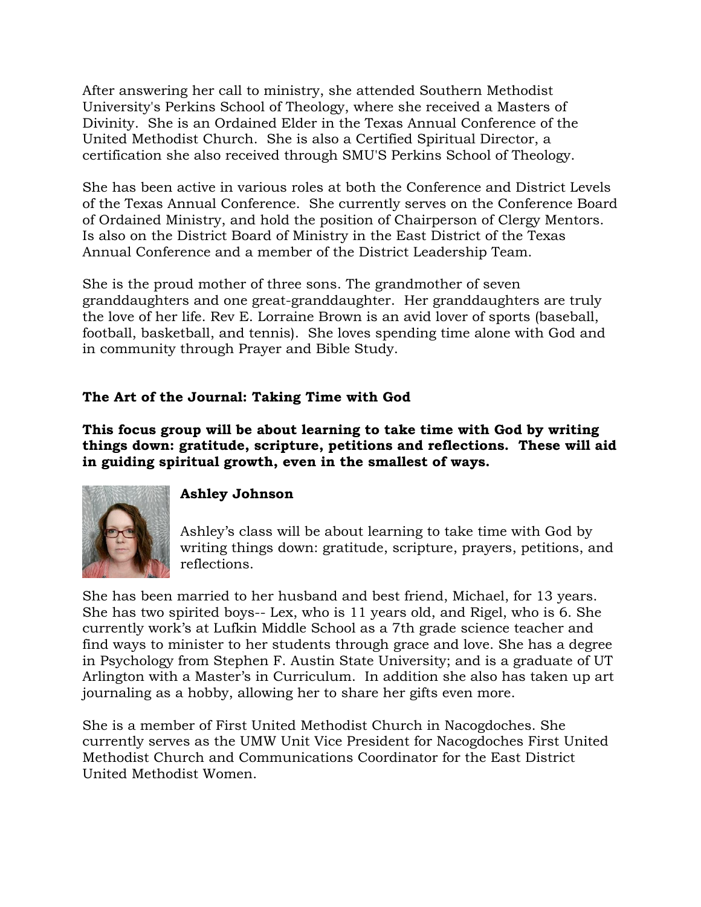After answering her call to ministry, she attended Southern Methodist University's Perkins School of Theology, where she received a Masters of Divinity. She is an Ordained Elder in the Texas Annual Conference of the United Methodist Church. She is also a Certified Spiritual Director, a certification she also received through SMU'S Perkins School of Theology.

She has been active in various roles at both the Conference and District Levels of the Texas Annual Conference. She currently serves on the Conference Board of Ordained Ministry, and hold the position of Chairperson of Clergy Mentors. Is also on the District Board of Ministry in the East District of the Texas Annual Conference and a member of the District Leadership Team.

She is the proud mother of three sons. The grandmother of seven granddaughters and one great-granddaughter. Her granddaughters are truly the love of her life. Rev E. Lorraine Brown is an avid lover of sports (baseball, football, basketball, and tennis). She loves spending time alone with God and in community through Prayer and Bible Study.

# **The Art of the Journal: Taking Time with God**

**This focus group will be about learning to take time with God by writing things down: gratitude, scripture, petitions and reflections. These will aid in guiding spiritual growth, even in the smallest of ways.**



## **Ashley Johnson**

Ashley's class will be about learning to take time with God by writing things down: gratitude, scripture, prayers, petitions, and reflections.

She has been married to her husband and best friend, Michael, for 13 years. She has two spirited boys-- Lex, who is 11 years old, and Rigel, who is 6. She currently work's at Lufkin Middle School as a 7th grade science teacher and find ways to minister to her students through grace and love. She has a degree in Psychology from Stephen F. Austin State University; and is a graduate of UT Arlington with a Master's in Curriculum. In addition she also has taken up art journaling as a hobby, allowing her to share her gifts even more.

She is a member of First United Methodist Church in Nacogdoches. She currently serves as the UMW Unit Vice President for Nacogdoches First United Methodist Church and Communications Coordinator for the East District United Methodist Women.